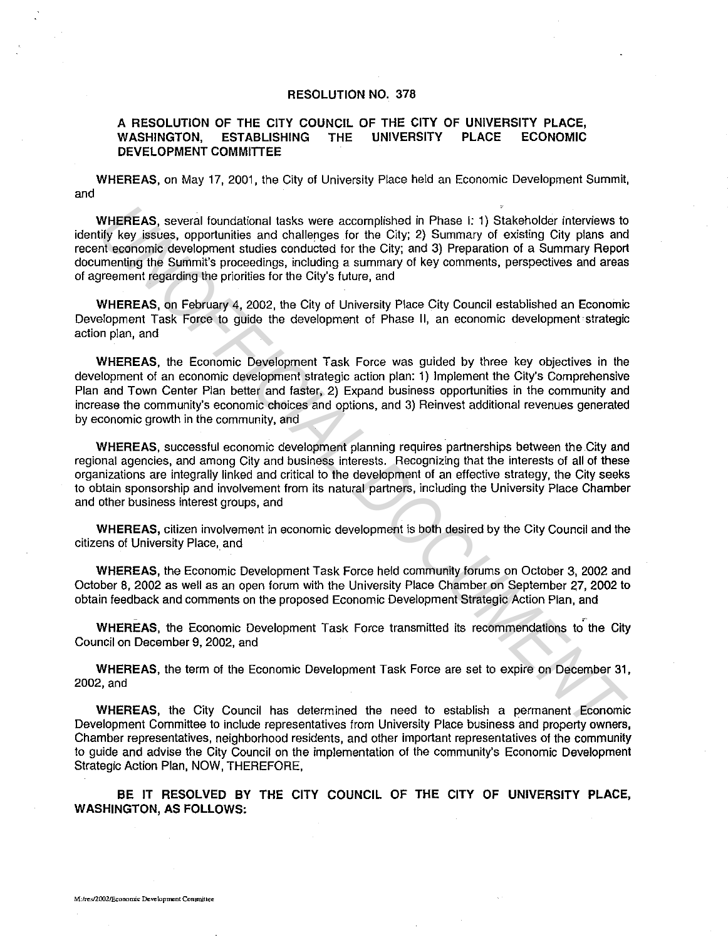## **RESOLUTION NO. 378**

## **A RESOLUTION OF THE CITY COUNCIL OF THE CITY OF UNIVERSITY PLACE, WASHINGTON, ESTABLISHING THE UNIVERSITY PLACE ECONOMIC DEVELOPMENT COMMITIEE**

**WHEREAS,** on May 17, 2001, the City of University Place held an Economic Development Summit, and

**WHEREAS,** several foundational tasks were accomplished in Phase I: 1) Stakeholder interviews to identify key issues, opportunities and challenges for the City; 2) Summary of existing City plans and recent economic development studies conducted for the City; and 3) Preparation of a Summary Report documenting the Summit's proceedings, including a summary of key comments, perspectives and areas of agreement regarding the priorities for the City's future, and

**WHEREAS,** on February 4, 2002, the City of University Place City Council established an Economic Development Task Force to guide the development of Phase II, an economic development strategic action plan, and

**WHEREAS,** the Economic Development Task Force was guided by three key objectives in the development of an economic development strategic action plan: 1) Implement the City's Comprehensive Plan and Town Center Plan better and faster, 2) Expand business opportunities in the community and increase the community's economic choices and options, and 3) Reinvest additional revenues generated by economic growth in the community, and WHEREAS, several foundational tasks were accomplished in Phase 1: 1) Stakeholder interviews to<br>the several foundation and challenges for the City; 2) Summary of existing City<br>of sizes controlled and challenges in the City;

**WHEREAS,** successful economic development planning requires partnerships between the City and regional agencies, and among City and business interests. Recognizing that the interests of all of these organizations are integrally linked and critical to the development of an effective strategy, the City seeks to obtain sponsorship and involvement from its natural partners, including the University Place Chamber and other business interest groups, and

**WHEREAS,** citizen involvement in economic development is both desired by the City Council and the citizens of University Place, and

**WHEREAS,** the Economic Development Task Force held community forums on October 3, 2002 and October 8, 2002 as well as an open forum with the University Place Chamber on September 27, 2002 to obtain feedback and comments on the proposed Economic Development Strategic Action Plan, and

**WHEREAS,** the Economic Development Task Force transmitted its recommendations to the City Council on December 9, 2002, and

**WHEREAS,** the term of the Economic Development Task Force are set to expire on December 31, 2002,and

**WHEREAS,** the City Council has determined the need to establish a permanent Economic Development Committee to include representatives from University Place business and property owners, Chamber representatives, neighborhood residents, and other important representatives of the community to guide and advise the City Council on the implementation of the community's Economic Development Strategic Action Plan, NOW, THEREFORE,

**BE IT RESOLVED BY THE CITY COUNCIL OF THE CITY OF UNIVERSITY PLACE, WASHINGTON, AS FOLLOWS:**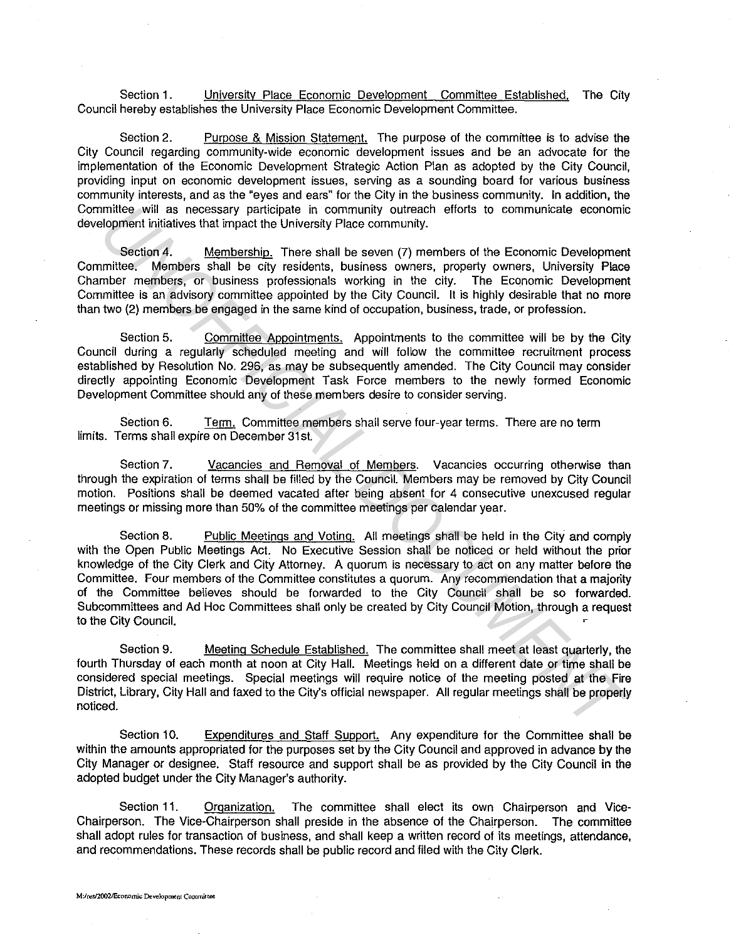Section 1. University Place Economic Development Committee Established. The City Council hereby establishes the University Place Economic Development Committee.

Section 2. Purpose & Mission Statement. The purpose of the committee is to advise the City Council regarding community-wide economic development issues and be an advocate for the implementation of the Economic Development Strategic Action Plan as adopted by the City Council, providing input on economic development issues, serving as a sounding board for various business community interests, and as the "eyes and ears" for the City in the business community. In addition, the Committee will as necessary participate in community outreach efforts to communicate economic development initiatives that impact the University Place community.

Section 4. Membership. There shall be seven (7) members of the Economic Development Committee. Members shall be city residents, business owners, property owners, University Place Chamber members, or business professionals working in the city. The Economic Development Committee is an advisory committee appointed by the City Council. It is highly desirable that no more than two (2) members be engaged in the same kind of occupation, business, trade, or profession.

Section 5. Committee Appointments. Appointments to the committee will be by the City Council during a regularly scheduled meeting and will follow the committee recruitment process established by Resolution No. 296, as may be subsequently amended. The City Council may consider directly appointing Economic Development Task Force members to the newly formed Economic Development Committee should any of these members desire to consider serving.

Section 6. Term. Committee members shall serve four-year terms. There are no term limits. Terms shall expire on December 31st.

Section 7. Vacancies and Removal of Members. Vacancies occurring otherwise than through the expiration of terms shall be filled by the Council. Members may be removed by City Council motion. Positions shall be deemed vacated after being absent for 4 consecutive unexcused regular meetings or missing more than 50% of the committee meetings per calendar year.

Section 8. Public Meetings and Voting. All meetings shall be held in the City and comply with the Open Public Meetings Act. No Executive Session shall be noticed or held without the prior knowledge of the City Clerk and City Attorney. A quorum is necessary to act on any matter before the Committee. Four members of the Committee constitutes a quorum. Any recommendation that a majority of the Committee believes should be forwarded to the City Council shall be so forwarded. Subcommittees and Ad Hoc Committees shall only be created by City Council Motion, through a request to the City Council. mittee will as necessary participate in community outrache thors to communicate economic<br>independent initiality is the section 4. <u>Membership</u>. There shall be seven (7) members of the Economic Development<br>mittee, Momehes s

Section 9. Meeting Schedule Established. The committee shall meet at least quarterly, the fourth Thursday of each month at noon at City Hall. Meetings held on a different date or time shall be considered special meetings. Special meetings will require notice of the meeting posted at the Fire District, Library, City Hall and faxed to the City's official newspaper. All regular meetings shall be properly noticed.

Section 10. Expenditures and Staff Support. Any expenditure for the Committee shall be within the amounts appropriated for the purposes set by the City Council and approved in advance by the City Manager or designee. Staff resource and support shall be as provided by the City Council in the adopted budget under the City Manager's authority.

Section 11. Organization. The committee shall elect its own Chairperson and Vice-Chairperson. The Vice-Chairperson shall preside in the absence of the Chairperson. The committee shall adopt rules for transaction of business, and shall keep a written record of its meetings, attendance, and recommendations. These records shall be public record and filed with the City Clerk.